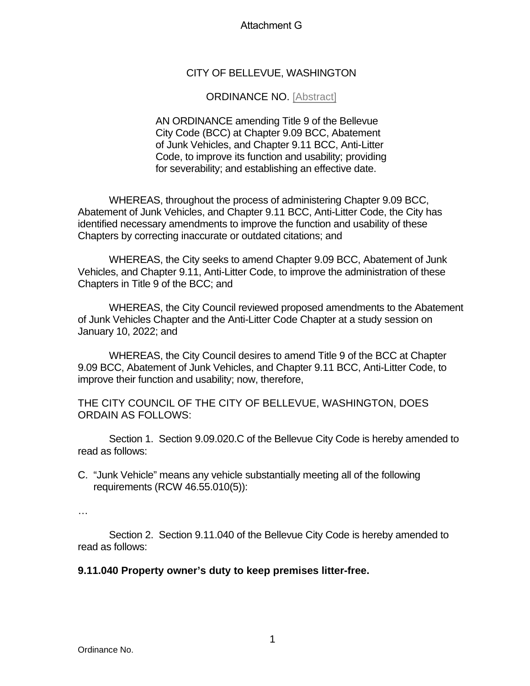## Attachment G

## CITY OF BELLEVUE, WASHINGTON

## ORDINANCE NO. [Abstract]

AN ORDINANCE amending Title 9 of the Bellevue City Code (BCC) at Chapter 9.09 BCC, Abatement of Junk Vehicles, and Chapter 9.11 BCC, Anti-Litter Code, to improve its function and usability; providing for severability; and establishing an effective date.

WHEREAS, throughout the process of administering Chapter 9.09 BCC, Abatement of Junk Vehicles, and Chapter 9.11 BCC, Anti-Litter Code, the City has identified necessary amendments to improve the function and usability of these Chapters by correcting inaccurate or outdated citations; and

WHEREAS, the City seeks to amend Chapter 9.09 BCC, Abatement of Junk Vehicles, and Chapter 9.11, Anti-Litter Code, to improve the administration of these Chapters in Title 9 of the BCC; and

WHEREAS, the City Council reviewed proposed amendments to the Abatement of Junk Vehicles Chapter and the Anti-Litter Code Chapter at a study session on January 10, 2022; and

WHEREAS, the City Council desires to amend Title 9 of the BCC at Chapter 9.09 BCC, Abatement of Junk Vehicles, and Chapter 9.11 BCC, Anti-Litter Code, to improve their function and usability; now, therefore,

THE CITY COUNCIL OF THE CITY OF BELLEVUE, WASHINGTON, DOES ORDAIN AS FOLLOWS:

Section 1. Section 9.09.020.C of the Bellevue City Code is hereby amended to read as follows:

C. "Junk Vehicle" means any vehicle substantially meeting all of the following requirements (RCW 46.55.010(5)):

…

Section 2. Section 9.11.040 of the Bellevue City Code is hereby amended to read as follows:

## **9.11.040 Property owner's duty to keep premises litter-free.**